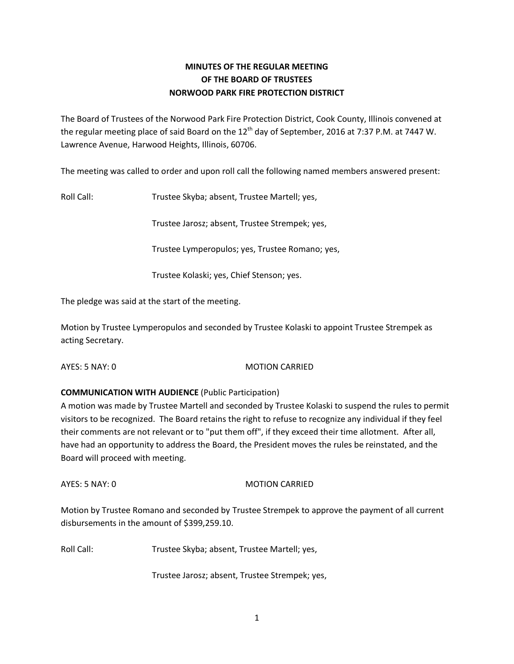# **MINUTES OF THE REGULAR MEETING OF THE BOARD OF TRUSTEES NORWOOD PARK FIRE PROTECTION DISTRICT**

The Board of Trustees of the Norwood Park Fire Protection District, Cook County, Illinois convened at the regular meeting place of said Board on the  $12<sup>th</sup>$  day of September, 2016 at 7:37 P.M. at 7447 W. Lawrence Avenue, Harwood Heights, Illinois, 60706.

The meeting was called to order and upon roll call the following named members answered present:

Roll Call: Trustee Skyba; absent, Trustee Martell; yes,

Trustee Jarosz; absent, Trustee Strempek; yes,

Trustee Lymperopulos; yes, Trustee Romano; yes,

Trustee Kolaski; yes, Chief Stenson; yes.

The pledge was said at the start of the meeting.

Motion by Trustee Lymperopulos and seconded by Trustee Kolaski to appoint Trustee Strempek as acting Secretary.

AYES: 5 NAY: 0 MOTION CARRIED

## **COMMUNICATION WITH AUDIENCE** (Public Participation)

A motion was made by Trustee Martell and seconded by Trustee Kolaski to suspend the rules to permit visitors to be recognized. The Board retains the right to refuse to recognize any individual if they feel their comments are not relevant or to "put them off", if they exceed their time allotment. After all, have had an opportunity to address the Board, the President moves the rules be reinstated, and the Board will proceed with meeting.

AYES: 5 NAY: 0 MOTION CARRIED

Motion by Trustee Romano and seconded by Trustee Strempek to approve the payment of all current disbursements in the amount of \$399,259.10.

Roll Call: Trustee Skyba; absent, Trustee Martell; yes,

Trustee Jarosz; absent, Trustee Strempek; yes,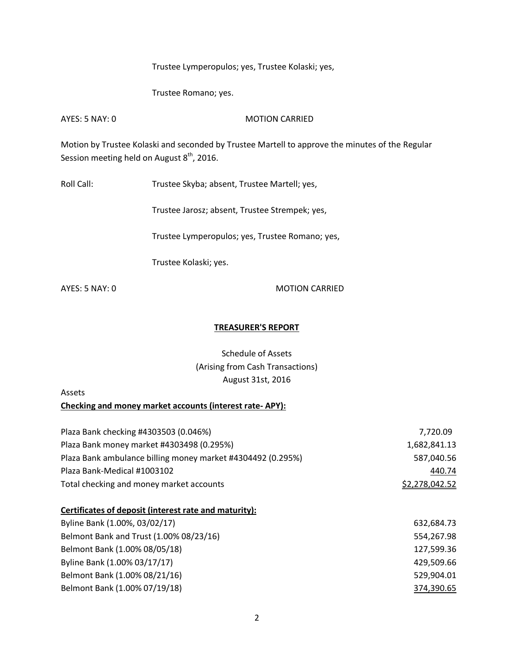Trustee Lymperopulos; yes, Trustee Kolaski; yes,

Trustee Romano; yes.

AYES: 5 NAY: 0 MOTION CARRIED

Motion by Trustee Kolaski and seconded by Trustee Martell to approve the minutes of the Regular Session meeting held on August  $8^{\text{th}}$ , 2016.

Roll Call: Trustee Skyba; absent, Trustee Martell; yes,

Trustee Jarosz; absent, Trustee Strempek; yes,

Trustee Lymperopulos; yes, Trustee Romano; yes,

Trustee Kolaski; yes.

AYES: 5 NAY: 0 MOTION CARRIED

#### **TREASURER'S REPORT**

Schedule of Assets (Arising from Cash Transactions) August 31st, 2016

Assets

**Checking and money market accounts (interest rate- APY):**

| Plaza Bank checking #4303503 (0.046%)                       | 7,720.09       |
|-------------------------------------------------------------|----------------|
| Plaza Bank money market #4303498 (0.295%)                   | 1,682,841.13   |
| Plaza Bank ambulance billing money market #4304492 (0.295%) | 587,040.56     |
| Plaza Bank-Medical #1003102                                 | 440.74         |
| Total checking and money market accounts                    | \$2,278,042.52 |
| Certificates of deposit (interest rate and maturity):       |                |
| Byline Bank (1.00%, 03/02/17)                               | 632,684.73     |
| Belmont Bank and Trust (1.00% 08/23/16)                     | 554,267.98     |
| Belmont Bank (1.00% 08/05/18)                               | 127,599.36     |
| Byline Bank (1.00% 03/17/17)                                | 429,509.66     |
| Belmont Bank (1.00% 08/21/16)                               | 529,904.01     |

Belmont Bank (1.00% 07/19/18) 374,390.65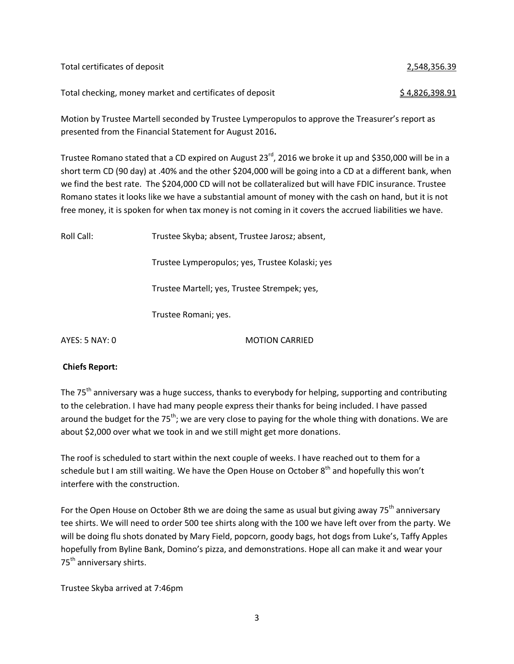Total certificates of deposit 2,548,356.39 Total checking, money market and certificates of deposit  $\frac{1}{2}$  \$ 4,826,398.91

Motion by Trustee Martell seconded by Trustee Lymperopulos to approve the Treasurer's report as presented from the Financial Statement for August 2016**.** 

Trustee Romano stated that a CD expired on August 23<sup>rd</sup>, 2016 we broke it up and \$350,000 will be in a short term CD (90 day) at .40% and the other \$204,000 will be going into a CD at a different bank, when we find the best rate. The \$204,000 CD will not be collateralized but will have FDIC insurance. Trustee Romano states it looks like we have a substantial amount of money with the cash on hand, but it is not free money, it is spoken for when tax money is not coming in it covers the accrued liabilities we have.

Roll Call: Trustee Skyba; absent, Trustee Jarosz; absent, Trustee Lymperopulos; yes, Trustee Kolaski; yes Trustee Martell; yes, Trustee Strempek; yes, Trustee Romani; yes. AYES: 5 NAY: 0 MOTION CARRIED

**Chiefs Report:** 

The 75<sup>th</sup> anniversary was a huge success, thanks to everybody for helping, supporting and contributing to the celebration. I have had many people express their thanks for being included. I have passed around the budget for the 75<sup>th</sup>; we are very close to paying for the whole thing with donations. We are about \$2,000 over what we took in and we still might get more donations.

The roof is scheduled to start within the next couple of weeks. I have reached out to them for a schedule but I am still waiting. We have the Open House on October  $8<sup>th</sup>$  and hopefully this won't interfere with the construction.

For the Open House on October 8th we are doing the same as usual but giving away 75<sup>th</sup> anniversary tee shirts. We will need to order 500 tee shirts along with the 100 we have left over from the party. We will be doing flu shots donated by Mary Field, popcorn, goody bags, hot dogs from Luke's, Taffy Apples hopefully from Byline Bank, Domino's pizza, and demonstrations. Hope all can make it and wear your 75<sup>th</sup> anniversary shirts.

Trustee Skyba arrived at 7:46pm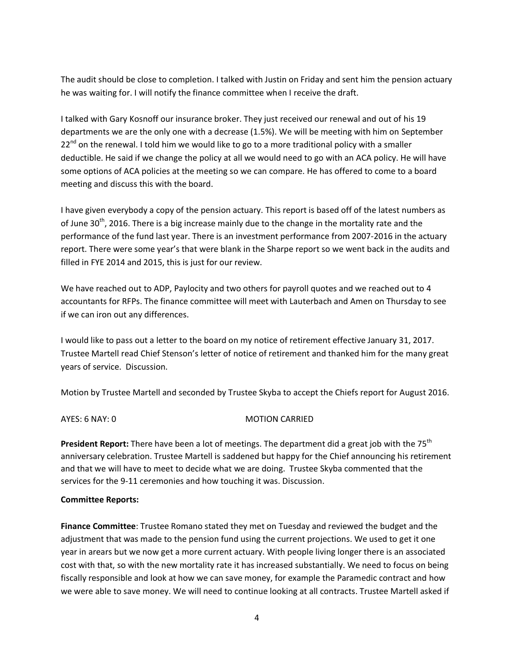The audit should be close to completion. I talked with Justin on Friday and sent him the pension actuary he was waiting for. I will notify the finance committee when I receive the draft.

I talked with Gary Kosnoff our insurance broker. They just received our renewal and out of his 19 departments we are the only one with a decrease (1.5%). We will be meeting with him on September  $22^{nd}$  on the renewal. I told him we would like to go to a more traditional policy with a smaller deductible. He said if we change the policy at all we would need to go with an ACA policy. He will have some options of ACA policies at the meeting so we can compare. He has offered to come to a board meeting and discuss this with the board.

I have given everybody a copy of the pension actuary. This report is based off of the latest numbers as of June 30<sup>th</sup>, 2016. There is a big increase mainly due to the change in the mortality rate and the performance of the fund last year. There is an investment performance from 2007-2016 in the actuary report. There were some year's that were blank in the Sharpe report so we went back in the audits and filled in FYE 2014 and 2015, this is just for our review.

We have reached out to ADP, Paylocity and two others for payroll quotes and we reached out to 4 accountants for RFPs. The finance committee will meet with Lauterbach and Amen on Thursday to see if we can iron out any differences.

I would like to pass out a letter to the board on my notice of retirement effective January 31, 2017. Trustee Martell read Chief Stenson's letter of notice of retirement and thanked him for the many great years of service. Discussion.

Motion by Trustee Martell and seconded by Trustee Skyba to accept the Chiefs report for August 2016.

AYES: 6 NAY: 0 MOTION CARRIED

**President Report:** There have been a lot of meetings. The department did a great job with the 75<sup>th</sup> anniversary celebration. Trustee Martell is saddened but happy for the Chief announcing his retirement and that we will have to meet to decide what we are doing. Trustee Skyba commented that the services for the 9-11 ceremonies and how touching it was. Discussion.

### **Committee Reports:**

**Finance Committee**: Trustee Romano stated they met on Tuesday and reviewed the budget and the adjustment that was made to the pension fund using the current projections. We used to get it one year in arears but we now get a more current actuary. With people living longer there is an associated cost with that, so with the new mortality rate it has increased substantially. We need to focus on being fiscally responsible and look at how we can save money, for example the Paramedic contract and how we were able to save money. We will need to continue looking at all contracts. Trustee Martell asked if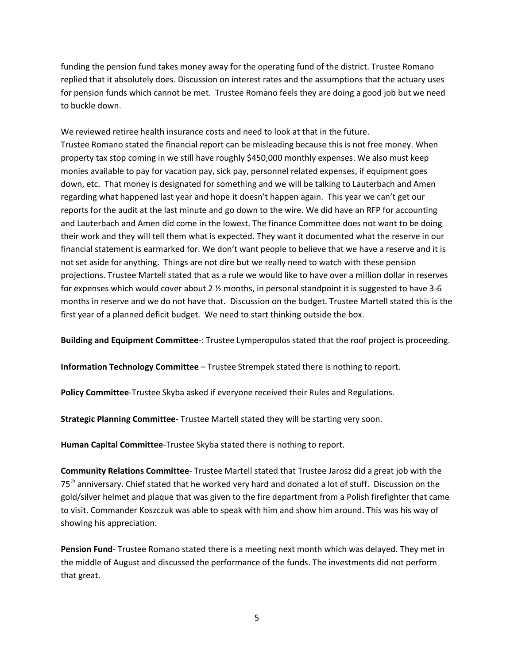funding the pension fund takes money away for the operating fund of the district. Trustee Romano replied that it absolutely does. Discussion on interest rates and the assumptions that the actuary uses for pension funds which cannot be met. Trustee Romano feels they are doing a good job but we need to buckle down.

We reviewed retiree health insurance costs and need to look at that in the future. Trustee Romano stated the financial report can be misleading because this is not free money. When property tax stop coming in we still have roughly \$450,000 monthly expenses. We also must keep monies available to pay for vacation pay, sick pay, personnel related expenses, if equipment goes down, etc. That money is designated for something and we will be talking to Lauterbach and Amen regarding what happened last year and hope it doesn't happen again. This year we can't get our reports for the audit at the last minute and go down to the wire. We did have an RFP for accounting and Lauterbach and Amen did come in the lowest. The finance Committee does not want to be doing their work and they will tell them what is expected. They want it documented what the reserve in our financial statement is earmarked for. We don't want people to believe that we have a reserve and it is not set aside for anything. Things are not dire but we really need to watch with these pension projections. Trustee Martell stated that as a rule we would like to have over a million dollar in reserves for expenses which would cover about 2 ½ months, in personal standpoint it is suggested to have 3-6 months in reserve and we do not have that. Discussion on the budget. Trustee Martell stated this is the first year of a planned deficit budget. We need to start thinking outside the box.

**Building and Equipment Committee**-: Trustee Lymperopulos stated that the roof project is proceeding.

**Information Technology Committee** – Trustee Strempek stated there is nothing to report.

**Policy Committee**-Trustee Skyba asked if everyone received their Rules and Regulations.

**Strategic Planning Committee**- Trustee Martell stated they will be starting very soon.

**Human Capital Committee**-Trustee Skyba stated there is nothing to report.

**Community Relations Committee**- Trustee Martell stated that Trustee Jarosz did a great job with the 75<sup>th</sup> anniversary. Chief stated that he worked very hard and donated a lot of stuff. Discussion on the gold/silver helmet and plaque that was given to the fire department from a Polish firefighter that came to visit. Commander Koszczuk was able to speak with him and show him around. This was his way of showing his appreciation.

**Pension Fund**- Trustee Romano stated there is a meeting next month which was delayed. They met in the middle of August and discussed the performance of the funds. The investments did not perform that great.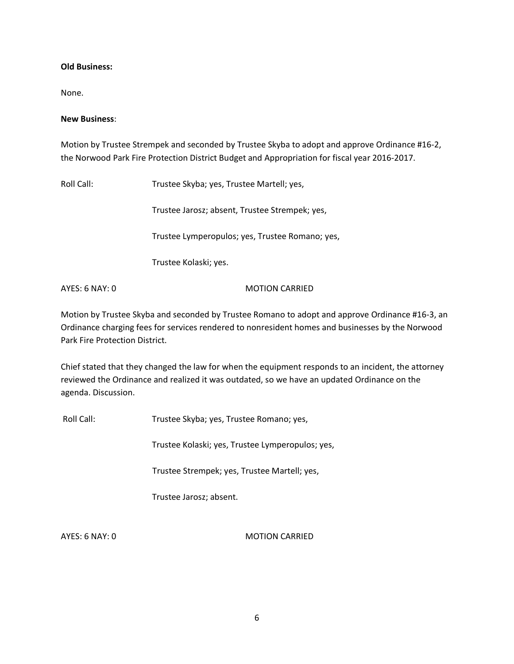### **Old Business:**

None.

### **New Business**:

Motion by Trustee Strempek and seconded by Trustee Skyba to adopt and approve Ordinance #16-2, the Norwood Park Fire Protection District Budget and Appropriation for fiscal year 2016-2017.

Roll Call: Trustee Skyba; yes, Trustee Martell; yes,

Trustee Jarosz; absent, Trustee Strempek; yes,

Trustee Lymperopulos; yes, Trustee Romano; yes,

Trustee Kolaski; yes.

AYES: 6 NAY: 0 MOTION CARRIED

Motion by Trustee Skyba and seconded by Trustee Romano to adopt and approve Ordinance #16-3, an Ordinance charging fees for services rendered to nonresident homes and businesses by the Norwood Park Fire Protection District.

Chief stated that they changed the law for when the equipment responds to an incident, the attorney reviewed the Ordinance and realized it was outdated, so we have an updated Ordinance on the agenda. Discussion.

Roll Call: Trustee Skyba; yes, Trustee Romano; yes,

Trustee Kolaski; yes, Trustee Lymperopulos; yes,

Trustee Strempek; yes, Trustee Martell; yes,

Trustee Jarosz; absent.

AYES: 6 NAY: 0 MOTION CARRIED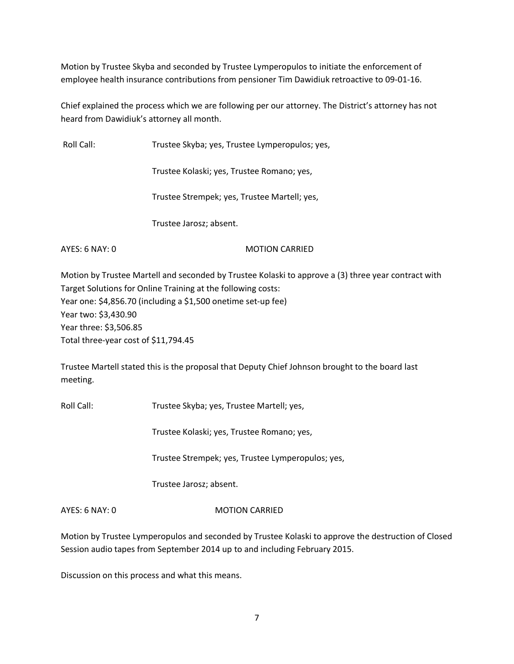Motion by Trustee Skyba and seconded by Trustee Lymperopulos to initiate the enforcement of employee health insurance contributions from pensioner Tim Dawidiuk retroactive to 09-01-16.

Chief explained the process which we are following per our attorney. The District's attorney has not heard from Dawidiuk's attorney all month.

Roll Call: Trustee Skyba; yes, Trustee Lymperopulos; yes,

Trustee Kolaski; yes, Trustee Romano; yes,

Trustee Strempek; yes, Trustee Martell; yes,

Trustee Jarosz; absent.

AYES: 6 NAY: 0 MOTION CARRIED

Motion by Trustee Martell and seconded by Trustee Kolaski to approve a (3) three year contract with Target Solutions for Online Training at the following costs: Year one: \$4,856.70 (including a \$1,500 onetime set-up fee) Year two: \$3,430.90 Year three: \$3,506.85 Total three-year cost of \$11,794.45

Trustee Martell stated this is the proposal that Deputy Chief Johnson brought to the board last meeting.

Roll Call: Trustee Skyba; yes, Trustee Martell; yes,

Trustee Kolaski; yes, Trustee Romano; yes,

Trustee Strempek; yes, Trustee Lymperopulos; yes,

Trustee Jarosz; absent.

AYES: 6 NAY: 0 MOTION CARRIED

Motion by Trustee Lymperopulos and seconded by Trustee Kolaski to approve the destruction of Closed Session audio tapes from September 2014 up to and including February 2015.

Discussion on this process and what this means.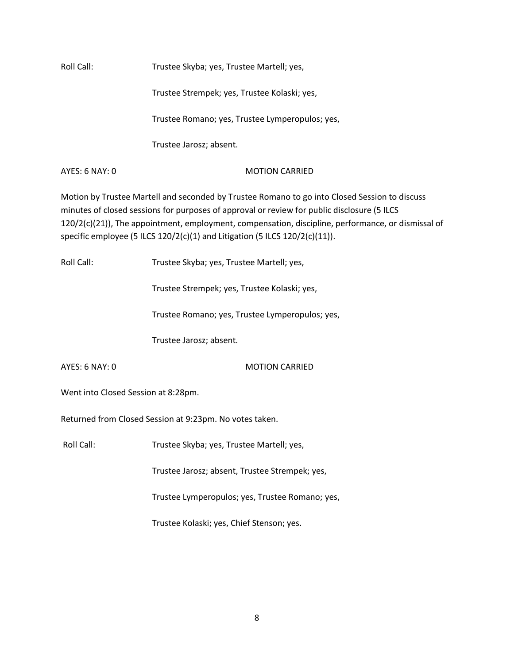Roll Call: Trustee Skyba; yes, Trustee Martell; yes, Trustee Strempek; yes, Trustee Kolaski; yes, Trustee Romano; yes, Trustee Lymperopulos; yes, Trustee Jarosz; absent.

AYES: 6 NAY: 0 MOTION CARRIED

Motion by Trustee Martell and seconded by Trustee Romano to go into Closed Session to discuss minutes of closed sessions for purposes of approval or review for public disclosure (5 ILCS 120/2(c)(21)), The appointment, employment, compensation, discipline, performance, or dismissal of specific employee (5 ILCS 120/2(c)(1) and Litigation (5 ILCS 120/2(c)(11)).

| Roll Call:                          | Trustee Skyba; yes, Trustee Martell; yes,               |  |
|-------------------------------------|---------------------------------------------------------|--|
|                                     | Trustee Strempek; yes, Trustee Kolaski; yes,            |  |
|                                     | Trustee Romano; yes, Trustee Lymperopulos; yes,         |  |
|                                     | Trustee Jarosz; absent.                                 |  |
| <b>AYES: 6 NAY: 0</b>               | <b>MOTION CARRIED</b>                                   |  |
| Went into Closed Session at 8:28pm. |                                                         |  |
|                                     | Returned from Closed Session at 9:23pm. No votes taken. |  |
| Roll Call:                          | Trustee Skyba; yes, Trustee Martell; yes,               |  |
|                                     | Trustee Jarosz; absent, Trustee Strempek; yes,          |  |
|                                     | Trustee Lymperopulos; yes, Trustee Romano; yes,         |  |
|                                     | Trustee Kolaski; yes, Chief Stenson; yes.               |  |